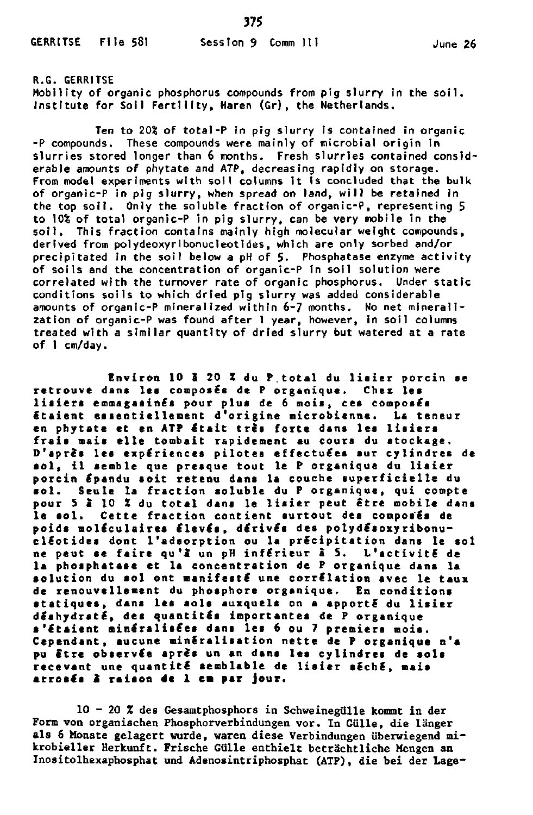375

R.G. GERRITSE Mobility of organic phosphorus compounds from pig slurry in the soil. Institute for Soil Fertility, Haren (Gr), the Netherlands.

Ten to 20% of total-P in pig slurry is contained in organic  $-P$  compounds. These compounds were mainly of microbial origin in slurries stored longer than 6 months. Fresh slurries contained considerable amounts of phytate and ATP, decreasing rapidly on storage. From model experiments with soil columns it is concluded that the bulk of organic-P in pig slurry, when spread on land, will be retained in the top soil. Only the soluble fraction of organic-P, representing 5 to 10% of total organic-P in pig slurry, can be very mobile in the soil. This fraction contains mainly high molecular weight compounds, derived from polydeoxyribonucleotides, which are only sorbed and/or precipitated in the soil below a pH of  $5$ . Phosphatase enzyme activity of soils and the concentration of organic-P in soil solution were correlated with the turnover rate of organic phosphorus. Under static conditions soils to which dried pig slurry was added considerable amounts of organic-P mineralized within 6-7 months. No net mineralization of organic-P was found after I year, however, in soil columns treated with a similar quantity of dried slurry but watered at a rate of 1 cm/day.

**Environ 10 S 20 I du P.tota l du lisie r porci n ae**  retrouve dans les composés de P organique. Chez les **lisier s emmagasiné s pour plu s de 6 mois, ce s composés étaien t essentiellemen t d'origin e microbienne . La teneu r en phytate et en ATP était très forte dans les lisiers frai s mais ell e tombait rapidement au cour s du stockage . D'aprè s le s expérience s pilote s effectuée s sur cylindre s de sol , i l sembl e que presque tout l e P organiqu e du lisie r porci n épandu soi t reten u dans la couche superficiell e du sol . Seul e la fractio n solubl e du P organique , qui compte**  pour 5 2 10 % du total dans le lisier peut être mobile dans **l e sol . Cett e fractio n contien t surtou t des composés de poid s moléculaire s élevés , dérivé s des polydésoxyribonu cleotide s dont l'adsorptio n ou la précipitatio n dans l e so l ne peut se fair e qu'à" un pH inférieu r à S. L'activit é de**  la phosphatase et la concentration de P organique dans la **solutio n du so l ont manifest é une corrélatio n ave c l e taux de renouvellemen t du phosphor e organique . En condition s statiques , dans le s sol s auxquels on a apport é du lisie r déshydraté , de s quantité s importante s de P organiqu e s'étaien t minéralisée s dans le s 6 ou 7 premier s mois.**  Cependant, aucune minéralisation nette de P organique n'a **pu êtr e observé e aprè s un an dans le s cylindre s de sols recevan t une quantit é semblabl e de lisie r séché , mais arrosé s 2 raiso n 4« 1 cm par jour .** 

**10 - 20 % des Gesamtphosphors in Schweinegülle kommt in der Form von organischen Phosphorverbindungen vor. In Gülle, die länger als 6 Monate gelagert wurde, waren diese Verbindungen überwiegend mikrobieller Herkunft. Frische Gülle enthielt beträchtliche Mengen an Inositolhexaphosphat und Adenosintriphosphat (ATP), die bei der Lage-**